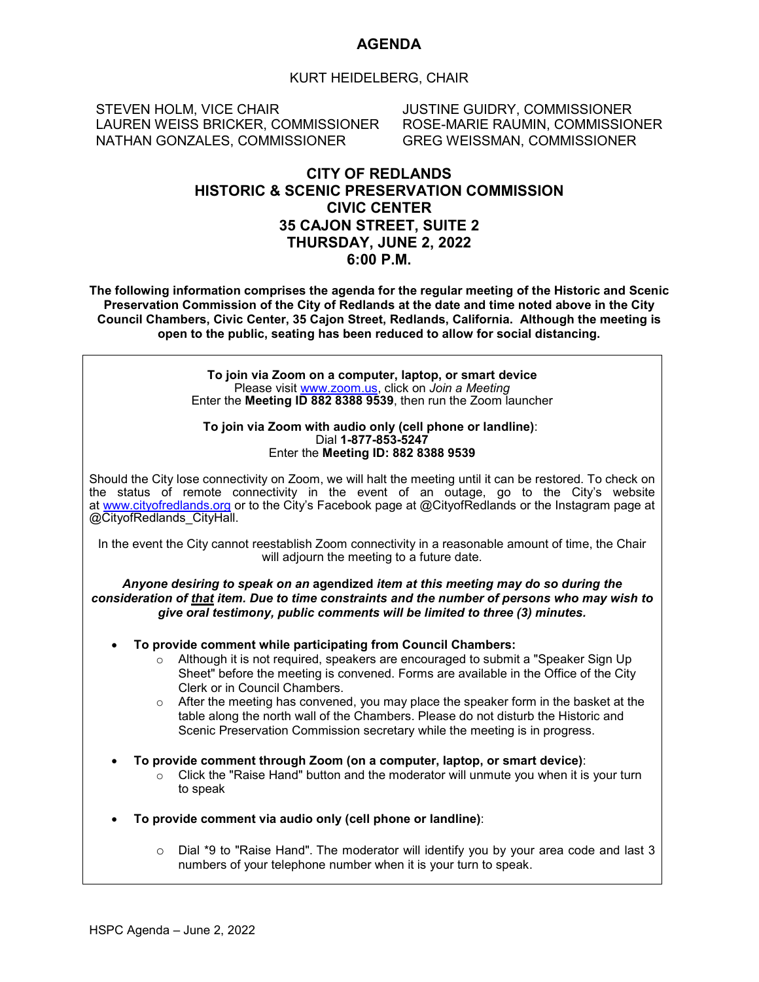#### **AGENDA**

#### KURT HEIDELBERG, CHAIR

STEVEN HOLM, VICE CHAIR LAUREN WEISS BRICKER, COMMISSIONER NATHAN GONZALES, COMMISSIONER

JUSTINE GUIDRY, COMMISSIONER ROSE-MARIE RAUMIN, COMMISSIONER GREG WEISSMAN, COMMISSIONER

#### **CITY OF REDLANDS HISTORIC & SCENIC PRESERVATION COMMISSION CIVIC CENTER 35 CAJON STREET, SUITE 2 THURSDAY, JUNE 2, 2022 6:00 P.M.**

**The following information comprises the agenda for the regular meeting of the Historic and Scenic Preservation Commission of the City of Redlands at the date and time noted above in the City Council Chambers, Civic Center, 35 Cajon Street, Redlands, California. Although the meeting is open to the public, seating has been reduced to allow for social distancing.**

> **To join via Zoom on a computer, laptop, or smart device** Please visit [www.zoom.us,](https://zoom.us/) click on *Join a Meeting* Enter the **Meeting ID 882 8388 9539**, then run the Zoom launcher

#### **To join via Zoom with audio only (cell phone or landline)**: Dial **1-877-853-5247** Enter the **Meeting ID: 882 8388 9539**

Should the City lose connectivity on Zoom, we will halt the meeting until it can be restored. To check on the status of remote connectivity in the event of an outage, go to the City's website at [www.cityofredlands.org](http://www.cityofredlands.org/) or to the City's Facebook page at @CityofRedlands or the Instagram page at @CityofRedlands\_CityHall.

In the event the City cannot reestablish Zoom connectivity in a reasonable amount of time, the Chair will adjourn the meeting to a future date.

*Anyone desiring to speak on an* **agendized** *item at this meeting may do so during the consideration of that item. Due to time constraints and the number of persons who may wish to give oral testimony, public comments will be limited to three (3) minutes.*

- **To provide comment while participating from Council Chambers:**
	- $\circ$  Although it is not required, speakers are encouraged to submit a "Speaker Sign Up Sheet" before the meeting is convened. Forms are available in the Office of the City Clerk or in Council Chambers.
	- $\circ$  After the meeting has convened, you may place the speaker form in the basket at the table along the north wall of the Chambers. Please do not disturb the Historic and Scenic Preservation Commission secretary while the meeting is in progress.
- **To provide comment through Zoom (on a computer, laptop, or smart device)**:
	- $\circ$  Click the "Raise Hand" button and the moderator will unmute you when it is your turn to speak
- **To provide comment via audio only (cell phone or landline)**:
	- $\circ$  Dial \*9 to "Raise Hand". The moderator will identify you by your area code and last 3 numbers of your telephone number when it is your turn to speak.